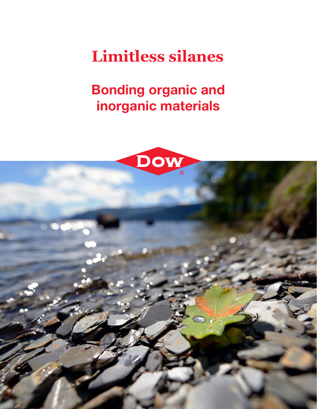# **Limitless silanes**

Bonding organic and inorganic materials



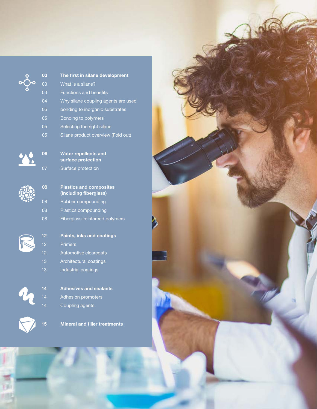

### The first in silane development What is a silane? Functions and benefits Why silane coupling agents are used 05 bonding to inorganic substrates 05 Bonding to polymers 05 Selecting the right silane

05 Silane product overview (Fold out)



| 06 | <b>Water repellents and</b> |
|----|-----------------------------|
|    | surface protection          |
| 07 | Surface protection          |

| 08 | <b>Plastics and composites</b><br>(Including fiberglass) |
|----|----------------------------------------------------------|
| 08 | Rubber compounding                                       |
| 08 | Plastics compounding                                     |
| 08 | Fiberglass-reinforced polymers                           |

|--|

| 12 | <b>Paints, inks and coatings</b> |
|----|----------------------------------|
| 12 | <b>Primers</b>                   |
| 12 | Automotive clearcoats            |
| 13 | Architectural coatings           |
| 13 | Industrial coatings              |
|    |                                  |

| 14 | <b>Adhesives and sealants</b> |
|----|-------------------------------|
| 14 | <b>Adhesion promoters</b>     |
| 14 | Coupling agents               |

h

Mineral and filler treatments

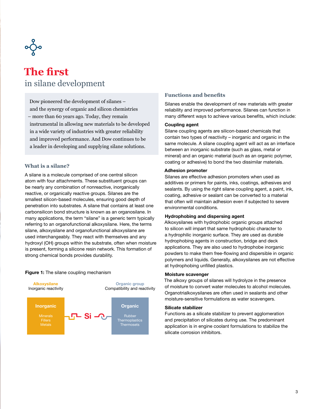

### **The first** in silane development

Dow pioneered the development of silanes – and the synergy of organic and silicon chemistries – more than 60 years ago. Today, they remain instrumental in allowing new materials to be developed in a wide variety of industries with greater reliability and improved performance. And Dow continues to be a leader in developing and supplying silane solutions.

### **What is a silane?**

A silane is a molecule comprised of one central silicon atom with four attachments. These substituent groups can be nearly any combination of nonreactive, inorganically reactive, or organically reactive groups. Silanes are the smallest silicon-based molecules, ensuring good depth of penetration into substrates. A silane that contains at least one carbonsilicon bond structure is known as an organosilane. In many applications, the term "silane" is a generic term typically referring to an organofunctional alkoxysilane. Here, the terms silane, alkoxysilane and organofunctional alkoxysilane are used interchangeably. They react with themselves and any hydroxyl (OH) groups within the substrate, often when moisture is present, forming a silicone resin network. This formation of strong chemical bonds provides durability.



#### Figure 1: The silane coupling mechanism

### **Functions and benefits**

Silanes enable the development of new materials with greater reliability and improved performance. Silanes can function in many different ways to achieve various benefits, which include:

### Coupling agent

Silane coupling agents are silicon-based chemicals that contain two types of reactivity – inorganic and organic in the same molecule. A silane coupling agent will act as an interface between an inorganic substrate (such as glass, metal or mineral) and an organic material (such as an organic polymer, coating or adhesive) to bond the two dissimilar materials.

### Adhesion promoter

Silanes are effective adhesion promoters when used as additives or primers for paints, inks, coatings, adhesives and sealants. By using the right silane coupling agent, a paint, ink, coating, adhesive or sealant can be converted to a material that often will maintain adhesion even if subjected to severe environmental conditions.

### Hydrophobing and dispersing agent

Alkoxysilanes with hydrophobic organic groups attached to silicon will impart that same hydrophobic character to a hydrophilic inorganic surface. They are used as durable hydrophobing agents in construction, bridge and deck applications. They are also used to hydrophobe inorganic powders to make them free-flowing and dispersible in organic polymers and liquids. Generally, alkoxysilanes are not effective at hydrophobing unfilled plastics.

#### Moisture scavenger

The alkoxy groups of silanes will hydrolyze in the presence of moisture to convert water molecules to alcohol molecules. Organotrialkoxysilanes are often used in sealants and other moisture-sensitive formulations as water scavengers.

#### Silicate stabilizer

Functions as a silicate stabilizer to prevent agglomeration and precipitation of silicates during use. The predominant application is in engine coolant formulations to stabilize the silicate corrosion inhibitors.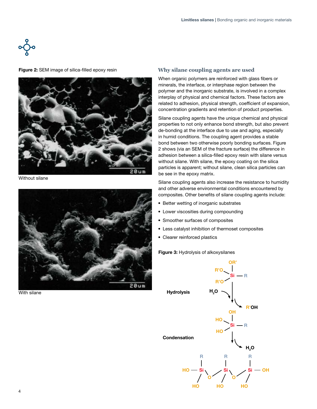$$
\circ \big\downarrow^{\circ}
$$

Figure 2: SEM image of silica-filled epoxy resin



Without silane



With silane

### **Why silane coupling agents are used**

When organic polymers are reinforced with glass fibers or minerals, the interface, or interphase region between the polymer and the inorganic substrate, is involved in a complex interplay of physical and chemical factors. These factors are related to adhesion, physical strength, coefficient of expansion, concentration gradients and retention of product properties.

Silane coupling agents have the unique chemical and physical properties to not only enhance bond strength, but also prevent de-bonding at the interface due to use and aging, especially in humid conditions. The coupling agent provides a stable bond between two otherwise poorly bonding surfaces. Figure 2 shows (via an SEM of the fracture surface) the difference in adhesion between a silica-filled epoxy resin with silane versus without silane. With silane, the epoxy coating on the silica particles is apparent; without silane, clean silica particles can be see in the epoxy matrix.

Silane coupling agents also increase the resistance to humidity and other adverse environmental conditions encountered by composites. Other benefits of silane coupling agents include:

- Better wetting of inorganic substrates
- Lower viscosities during compounding
- Smoother surfaces of composites
- Less catalyst inhibition of thermoset composites
- Clearer reinforced plastics

### Figure 3: Hydrolysis of alkoxysilanes

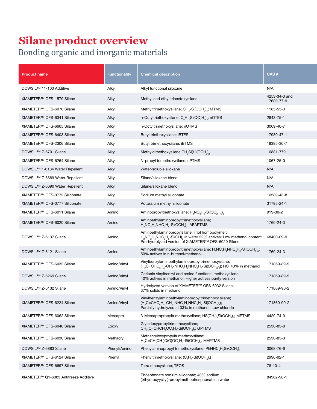### **Silane product overview**

### Bonding organic and inorganic materials

| <b>Product name</b>                   | <b>Functionality</b> | <b>Chemical description</b>                                                                                                                                                                     | CAS#                        |
|---------------------------------------|----------------------|-------------------------------------------------------------------------------------------------------------------------------------------------------------------------------------------------|-----------------------------|
| DOWSIL™ 11-100 Additive               | Alkyl                | Alkyl functional siloxane                                                                                                                                                                       | N/A                         |
| XIAMETER™ OFS-1579 Silane             | Alkyl                | Methyl and ethyl triacetoxysilane                                                                                                                                                               | 4253-34-3 and<br>17689-77-9 |
| XIAMETER™ OFS-6070 Silane             | Alkyl                | Methyltrimethoxysilane; $CH3-Si(OCH3)3$ ; MTMS                                                                                                                                                  | 1185-55-3                   |
| XIAMETER™ OFS-6341 Silane             | Alkyl                | n-Octyltriethoxysilane; $C_8H_{17}Si(OC_2H_5)_3$ ; nOTES                                                                                                                                        | 2943-75-1                   |
| XIAMETER™ OFS-6665 Silane             | Alkyl                | n-Octyltrimethoxysilane; nOTMS                                                                                                                                                                  | 3069-40-7                   |
| XIAMETER™ OFS-6403 Silane             | Alkyl                | Butyl triethoxysilane; iBTES                                                                                                                                                                    | 17980-47-1                  |
| XIAMETER™ OFS-2306 Silane             | Alkyl                | Butyl trimethoxysilane; iBTMS                                                                                                                                                                   | 18395-30-7                  |
| DOWSIL™ Z-6701 Silane                 | Alkyl                | Methyldimethoxysilane $CH_3Si(H)(OCH_3)$                                                                                                                                                        | 16881-779                   |
| XIAMETER™ OFS-6264 Silane             | Alkyl                | N-propyl trimethoxysilane; nPTMS                                                                                                                                                                | 1067-25-0                   |
| DOWSIL™ 1-6184 Water Repellent        | Alkyl                | Water-soluble siloxane                                                                                                                                                                          | N/A                         |
| DOWSIL™ Z-6689 Water Repellent        | Alkyl                | Silane/siloxane blend                                                                                                                                                                           | N/A                         |
| DOWSIL™ Z-6690 Water Repellent        | Alkyl                | Silane/siloxane blend                                                                                                                                                                           | N/A                         |
| XIAMETER™ OFS-0772 Siliconate         | Alkyl                | Sodium methyl siliconate                                                                                                                                                                        | 16589-43-8                  |
| XIAMETER™ OFS-0777 Siliconate         | Alkyl                | Potassium methyl siliconate                                                                                                                                                                     | 31795-24-1                  |
| XIAMETER™ OFS-6011 Silane             | Amino                | Aminopropyltriethoxysilane; $H_2NC_3H_6-Si(OC_2H_5)_3$                                                                                                                                          | 919-30-2                    |
| XIAMETER™ OFS-6020 Silane             | Amino                | Aminoethylaminopropyltrimethoxysilane;<br>$H_2NC_2H_4NHC_3H_6-Si(OCH_3)_3;$ AEAPTMS                                                                                                             | 1760-24-3                   |
| DOWSIL <sup>™</sup> Z-6137 Silane     | Amino                | Aminoethylaminopropylsilane; Triol homopolymer;<br>$H_2NC_2H_4NHC_3H_6-Si(OH)_3$ in water 22% actives; Low methanol content; 68400-09-9<br>Pre-hydrolyzed version of XIAMETER™ OFS-6020 Silane  |                             |
| DOWSIL™ Z-6121 Silane                 | Amino                | Aminoethylaminopropyltrimethoxysilane; H <sub>2</sub> NC <sub>2</sub> H <sub>4</sub> NHC <sub>3</sub> H <sub>6</sub> -Si(OCH <sub>3</sub> ) <sub>3</sub> ;<br>50% actives in n-butanol/methanol | 1760-24-3                   |
| XIAMETER™ OFS-6032 Silane             | Amino/Vinyl          | Vinylbenzylaminoethylaminopropyltrimethoxysilane;<br>$(H_2C=CHC_6H_4-CH_2-NHC_2H_4NHC_3H_6-Si(OCH_3)_3)$ ; HCl 40% in methanol                                                                  | 171869-89-9                 |
| DOWSIL™ Z-6269 Silane                 | Amino/Vinyl          | Cationic vinylbenzyl and amino functional methoxysilane;<br>40% actives in methanol; Higher actives purity version                                                                              | 171869-89-9                 |
| DOWSIL™ Z-6132 Silane                 | Amino/Vinyl          | Hydrolyzed version of XIAMETER™ OFS-6032 Silane;<br>37% solids in methanol                                                                                                                      | 171869-90-2                 |
| XIAMETER™ OFS-6224 Silane             | Amino/Vinyl          | Vinylbenzylaminoethylaminopropyltrimethoxy silane;<br>$(H2C=CHC6H4-CH2-NHC2H4NHC3H6-Si(OCH3)3);$<br>Partially hydrolyzed at 33% in methanol; Low chloride                                       | 171869-90-2                 |
| XIAMETER™ OFS-6062 Silane             | Mercapto             | 3-Mercaptopropyltrimethoxysilane; HS(CH <sub>2</sub> ) <sub>3</sub> Si(OCH <sub>3</sub> ) <sub>3</sub> ; MPTMS                                                                                  | 4420-74-0                   |
| XIAMETER™ OFS-6040 Silane             | Epoxy                | Glycidoxypropyltrimethoxysilane;<br>CH <sub>2</sub> (O) CHCH <sub>2</sub> OC <sub>3</sub> H <sub>6</sub> -Si(OCH <sub>3</sub> ) <sub>3</sub> ; GPTMS                                            | 2530-83-8                   |
| XIAMETER™ OFS-6030 Silane             | Methacryl            | Methacryloxypropyltrimethoxysilane;<br>$H2C=CH(CH3)C(O)OC3H6-Si(OCH3)3; MAPTMS$                                                                                                                 | 2530-85-0                   |
| DOWSIL™ Z-6883 Silane                 | Phenyl/Amino         | Phenylaminopropyl trimethoxysilane; PhNHC <sub>3</sub> H <sub>6</sub> Si(OCH <sub>3</sub> ) <sub>3</sub>                                                                                        | 3068-76-6                   |
| XIAMETER™ OFS-6124 Silane             | Phenyl               | Phenyltrimethoxysilane; $(C_6H_5-Si(OCH_3)_3)$                                                                                                                                                  | 2996-92-1                   |
| XIAMETER™ OFS-6697 Silane             |                      | Tetra ethoxysilane; TEOS                                                                                                                                                                        | 78-10-4                     |
| XIAMETER™ Q1-6083 Antifreeze Additive |                      | Phosphonate sodium siliconate; 40% sodium<br>(trihydroxyysilyl)-propylmethophosphonate in water                                                                                                 | 84962-98-1                  |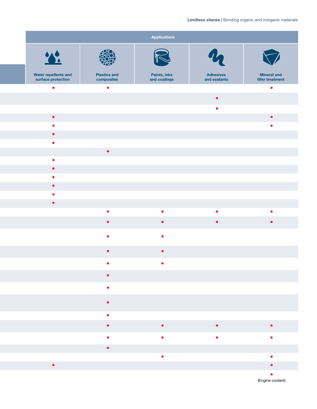### Limitless silanes | Bonding organic and inorganic materials

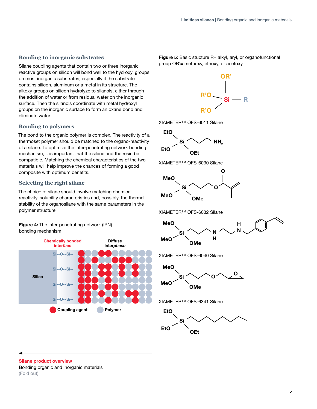### **Bonding to inorganic substrates**

Silane coupling agents that contain two or three inorganic reactive groups on silicon will bond well to the hydroxyl groups on most inorganic substrates, especially if the substrate contains silicon, aluminum or a metal in its structure. The alkoxy groups on silicon hydrolyze to silanols, either through the addition of water or from residual water on the inorganic surface. Then the silanols coordinate with metal hydroxyl groups on the inorganic surface to form an oxane bond and eliminate water.

### **Bonding to polymers**

The bond to the organic polymer is complex. The reactivity of a thermoset polymer should be matched to the organo-reactivity of a silane. To optimize the inter-penetrating network bonding mechanism, it is important that the silane and the resin be compatible. Matching the chemical characteristics of the two materials will help improve the chances of forming a good composite with optimum benefits.

### **Selecting the right silane**

The choice of silane should involve matching chemical reactivity, solubility characteristics and, possibly, the thermal stability of the organosilane with the same parameters in the polymer structure.

Figure 4: The inter-penetrating network (IPN) bonding mechanism



Figure 5: Basic stucture R= alkyl, aryl, or organofunctional group OR'= methoxy, ethoxy, or acetoxy



XIAMETER™ OFS-6011 Silane







XIAMETER™ OFS-6032 Silane



XIAMETER™ OFS-6040 Silane



XIAMETER™ OFS-6341 Silane



Silane product overview

Bonding organic and inorganic materials (Fold out)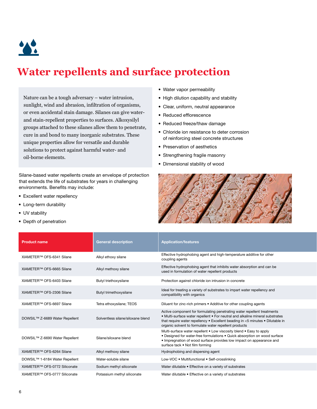

## **Water repellents and surface protection**

Nature can be a tough adversary – water intrusion, sunlight, wind and abrasion, infiltration of organisms, or even accidental stain damage. Silanes can give waterand stain-repellent properties to surfaces. Alkoxysilyl groups attached to these silanes allow them to penetrate, cure in and bond to many inorganic substrates. These unique properties allow for versatile and durable solutions to protect against harmful water- and oil-borne elements.

Silane-based water repellents create an envelope of protection that extends the life of substrates for years in challenging environments. Benefits may include:

- Excellent water repellency
- Long-term durability
- UV stability
- Depth of penetration
- Water vapor permeability
- High dilution capability and stability
- Clear, uniform, neutral appearance
- Reduced efflorescence
- Reduced freeze/thaw damage
- Chloride ion resistance to deter corrosion of reinforcing steel concrete structures
- Preservation of aesthetics
- Strengthening fragile masonry
- Dimensional stability of wood



| <b>Product name</b>                        | <b>General description</b>        | <b>Application/features</b>                                                                                                                                                                                                                                                                         |
|--------------------------------------------|-----------------------------------|-----------------------------------------------------------------------------------------------------------------------------------------------------------------------------------------------------------------------------------------------------------------------------------------------------|
| XIAMETER™ OFS-6341 Silane                  | Alkyl ethoxy silane               | Effective hydrophobing agent and high-temperature additive for other<br>coupling agents                                                                                                                                                                                                             |
| XIAMETER™ OFS-6665 Silane                  | Alkyl methoxy silane              | Effective hydrophobing agent that inhibits water absorption and can be<br>used in formulation of water repellent products                                                                                                                                                                           |
| XIAMETER <sup>™</sup> OFS-6403 Silane      | Butyl triethoxysilane             | Protection against chloride ion intrusion in concrete                                                                                                                                                                                                                                               |
| XIAMETER™ OFS-2306 Silane                  | Butyl trimethoxysilane            | Ideal for treating a variety of substrates to impart water repellency and<br>compatibility with organics                                                                                                                                                                                            |
| XIAMETER™ OFS-6697 Silane                  | Tetra ethoxysilane; TEOS          | Diluent for zinc-rich primers • Additive for other coupling agents                                                                                                                                                                                                                                  |
| DOWSIL™ Z-6689 Water Repellent             | Solventless silane/siloxane blend | Active component for formulating penetrating water repellent treatments<br>• Multi-surface water repellent • For neutral and alkaline mineral substrates<br>that require water repellency . Excellent beading in <5 minutes . Dilutable in<br>organic solvent to formulate water repellent products |
| DOWSIL™ Z-6690 Water Repellent             | Silane/siloxane blend             | Multi-surface water repellent . Low viscosity blend . Easy to apply<br>• Designed for water-free formulations • Quick absorption on wood surface<br>. Impregnation of wood surface provides low impact on appearance and<br>surface tack • Not film forming                                         |
| XIAMETER™ OFS-6264 Silane                  | Alkyl methoxy silane              | Hydrophobing and dispersing agent                                                                                                                                                                                                                                                                   |
| DOWSIL <sup>™</sup> 1-6184 Water Repellent | Water-soluble silane              | Low-VOC . Multifunctional . Self-crosslinking                                                                                                                                                                                                                                                       |
| XIAMETER™ OFS-0772 Siliconate              | Sodium methyl siliconate          | Water dilutable . Effective on a variety of substrates                                                                                                                                                                                                                                              |
| XIAMETER™ OFS-0777 Siliconate              | Potassium methyl siliconate       | Water dilutable . Effective on a variety of substrates                                                                                                                                                                                                                                              |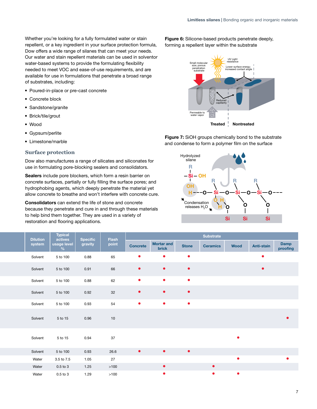Whether you're looking for a fully formulated water or stain repellent, or a key ingredient in your surface protection formula, Dow offers a wide range of silanes that can meet your needs. Our water and stain repellent materials can be used in solventor water-based systems to provide the formulating flexibility needed to meet VOC and ease-of-use requirements, and are available for use in formulations that penetrate a broad range of substrates, including:

- Poured-in-place or pre-cast concrete
- Concrete block
- Sandstone/granite
- Brick/tile/grout
- Wood
- Gypsum/perlite
- Limestone/marble

### **Surface protection**

Dow also manufactures a range of silicates and siliconates for use in formulating pore-blocking sealers and consolidators.

Sealers include pore blockers, which form a resin barrier on concrete surfaces, partially or fully filling the surface pores; and hydrophobing agents, which deeply penetrate the material yet allow concrete to breathe and won't interfere with concrete cure.

Consolidators can extend the life of stone and concrete because they penetrate and cure in and through these materials to help bind them together. They are used in a variety of restoration and flooring applications.

Figure 6: Silicone-based products penetrate deeply, forming a repellent layer within the substrate



Figure 7: SiOH groups chemically bond to the substrate and condense to form a polymer film on the surface



|  | <b>Dilution</b> | <b>Typical</b><br>actives |                     | Flash  |                 |                            |              | <b>Substrate</b> |           |                   |                  |
|--|-----------------|---------------------------|---------------------|--------|-----------------|----------------------------|--------------|------------------|-----------|-------------------|------------------|
|  | system          | Vusage level              | Specific<br>gravity | point  | <b>Concrete</b> | <b>Mortar and</b><br>brick | <b>Stone</b> | <b>Ceramics</b>  | Wood      | <b>Anti-stain</b> | Damp<br>proofing |
|  | Solvent         | 5 to 100                  | 0.88                | 65     | $\bullet$       | $\bullet$                  | $\bullet$    |                  |           | $\bullet$         |                  |
|  | Solvent         | 5 to 100                  | 0.91                | 66     | $\bullet$       | $\bullet$                  | $\bullet$    |                  |           | $\bullet$         |                  |
|  | Solvent         | 5 to 100                  | 0.88                | 62     | $\bullet$       | $\bullet$                  | $\bullet$    |                  |           |                   |                  |
|  | Solvent         | 5 to 100                  | 0.92                | 32     | $\bullet$       | $\bullet$                  | $\bullet$    |                  |           |                   |                  |
|  | Solvent         | 5 to 100                  | 0.93                | 54     | $\bullet$       | $\bullet$                  | $\bullet$    |                  |           |                   |                  |
|  | Solvent         | 5 to 15                   | 0.96                | 10     |                 |                            |              |                  |           |                   | $\bullet$        |
|  | Solvent         | 5 to 15                   | 0.94                | 37     |                 |                            |              |                  | $\bullet$ |                   |                  |
|  | Solvent         | 5 to 100                  | 0.93                | 26.6   | $\bullet$       | $\bullet$                  | $\bullet$    |                  |           |                   |                  |
|  | Water           | 3.5 to 7.5                | 1.05                | 27     |                 |                            |              |                  |           |                   |                  |
|  | Water           | $0.5$ to $3$              | 1.25                | $>100$ |                 | $\bullet$                  |              | $\bullet$        |           |                   |                  |
|  | Water           | $0.5$ to $3$              | 1.29                | $>100$ |                 | $\bullet$                  |              | $\bullet$        |           |                   |                  |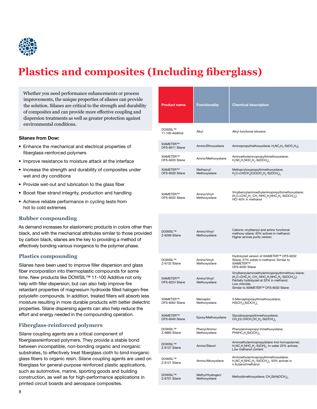

# **Plastics and composites (Including fiberglass)**

Whether you need performance enhancements or process improvements, the unique properties of silanes can provide the solution. Silanes are critical to the strength and durability of composites and can provide more effective coupling and dispersion treatments as well as greater protection against environmental conditions.

#### Silanes from Dow:

- Enhance the mechanical and electrical properties of fiberglass-reinforced polymers
- Improve resistance to moisture attack at the interface
- Increase the strength and durability of composites under wet and dry conditions
- Provide wet-out and lubrication to the glass fiber
- Boost fiber strand integrity, production and handling
- Achieve reliable performance in cycling tests from hot to cold extremes

### **Rubber compounding**

As demand increases for elastomeric products in colors other than black, and with the mechanical attributes similar to those provided by carbon black, silanes are the key to providing a method of effectively bonding various inorganics to the polymer phase.

### **Plastics compounding**

Silanes have been used to improve filler dispersion and glass fiber incorporation into thermoplastic compounds for some time. New products like DOWSIL™ 11-100 Additive not only help with filler dispersion, but can also help improve fire retardant properties of magnesium hydroxide filled halogen-free polyolefin compounds. In addition, treated fillers will absorb less moisture resulting in more durable products with better dielectric properties. Silane dispersing agents can also help reduce the effort and energy needed in the compounding operation.

### **Fiberglass-reinforced polymers**

Silane coupling agents are a critical component of fiberglassreinforced polymers. They provide a stable bond between incompatible, non-bonding organic and inorganic substrates, to effectively treat fiberglass cloth to bind inorganic glass fibers to organic resin. Silane coupling agents are used on fiberglass for general-purpose reinforced plastic applications, such as automotive, marine, sporting goods and building construction, as well as for high-performance applications in printed circuit boards and aerospace composites.

| <b>Product name</b>             | <b>Functionality</b>              | <b>Chemical description</b>                                                                                                                                                                                                                                                                                                           |
|---------------------------------|-----------------------------------|---------------------------------------------------------------------------------------------------------------------------------------------------------------------------------------------------------------------------------------------------------------------------------------------------------------------------------------|
| DOWSIL™<br>11-100 Additive      | Alkyl                             | Alkyl functional siloxane                                                                                                                                                                                                                                                                                                             |
| XIAMETER™<br>OFS-6011 Silane    | Amino/Ethoxysilane                | Aminopropyltriethoxysilane; H <sub>2</sub> NC <sub>3</sub> H <sub>6</sub> -Si(OC <sub>2</sub> H <sub>5</sub> ) <sub>3</sub>                                                                                                                                                                                                           |
| XIAMETER™<br>OFS-6020 Silane    | Amino/Methoxysilane               | Aminoethylaminopropyltrimethoxysilane;<br>$HsNCsHaNHCsHs-Si(OCHs)s$                                                                                                                                                                                                                                                                   |
| XIAMETER™<br>OFS-6030 Silane    | Methacryl/<br>Methoxysilane       | Methacryloxypropyltrimethoxysilane;<br>$H_2C=CH(CH_3)C(O)OC_3H_6-Si(OCH_3)_3$                                                                                                                                                                                                                                                         |
| XIAMETER™<br>OFS-6032 Silane    | Amino/Vinyl/<br>Methoxysilane     | Vinylbenzylaminoethylaminopropyltrimethoxysilane;<br>(H <sub>2</sub> C=CHC <sub>e</sub> H <sub>4</sub> -CH <sub>2</sub> -NHC <sub>2</sub> H <sub>4</sub> NHC <sub>2</sub> H <sub>e</sub> -Si(OCH <sub>3</sub> ) <sub>2</sub> );<br>HCI 40% in methanol                                                                                |
| DOWSIL™<br>Z-6269 Silane        | Amino/Vinyl/<br>Methoxysilane     | Cationic vinylbenzyl and amino functional<br>methoxy-silane; 40% actives in methanol;<br>Higher actives purity version                                                                                                                                                                                                                |
| <b>DOWSIL™</b><br>Z-6132 Silane | Amino/Vinyl/<br>Methoxysilane     | Hydrolyzed version of XIAMETER™ OFS-6032<br>Silane; 37% solids in methanol; Similar to<br>XIAMETER™<br>OFS-6032 Silane                                                                                                                                                                                                                |
| XIAMETER™<br>OFS-6224 Silane    | Amino/Vinyl/<br>Methoxysilane     | Vinylbenzylaminoethylaminopropyltrimethoxy silane;<br>(H <sub>2</sub> C=CHC <sub>6</sub> H <sub>4</sub> -CH <sub>2</sub> -NHC <sub>2</sub> H <sub>4</sub> NHC <sub>3</sub> H <sub>6</sub> -Si(OCH <sub>3</sub> ) <sub>3</sub> );<br>Partially hydrolyzed at 33% in methanol;<br>Low chloride;<br>Similar to XIAMETER™ OFS-6032 Silane |
| XIAMETER™<br>OFS-6062 Silane    | Mercapto/<br>Methoxysilane        | 3-Mercaptopropyltrimethoxysilane;<br>$HS(CH2)3Si(OCH3)3$                                                                                                                                                                                                                                                                              |
| XIAMETER™<br>OFS-6040 Silane    | Epoxy/Methoxysilane               | Glycidoxypropyltrimethoxysilane;<br>$CH_2(O)$ CHCH <sub>2</sub> OC <sub>3</sub> H <sub>6</sub> -Si(OCH <sub>3</sub> ) <sub>3</sub>                                                                                                                                                                                                    |
| <b>DOWSIL™</b><br>Z-6883 Silane | Phenyl/Amino/<br>Methoxysilane    | Phenylaminopropyl trimethoxysilane;<br>$PhNHC3H6Si(OCH3)3$                                                                                                                                                                                                                                                                            |
| <b>DOWSIL™</b><br>Z-6137 Silane | Amino/Silanol                     | Aminoethylaminopropylsilane triol homopolymer;<br>$H2NC2H4NHC3H6-Si(OH)3$ ; In water 22% actives;<br>Low methanol content                                                                                                                                                                                                             |
| <b>DOWSIL™</b><br>Z-6121 Silane | Amino/Alkoxysilane                | Aminoethylaminopropyltrimethoxysilane;<br>H <sub>2</sub> NC <sub>2</sub> H <sub>4</sub> NHC <sub>3</sub> H <sub>6</sub> -Si(OCH <sub>3</sub> ) <sub>4</sub> ; 50% actives in<br>n-butanol/methanol                                                                                                                                    |
| DOWSIL™<br>Z-6701 Silane        | Methyl/Hydrogen/<br>Methoxysilane | Methyldimethoxysilane; CH <sub>3</sub> Si(H)(OCH <sub>3</sub> ) <sub>2</sub>                                                                                                                                                                                                                                                          |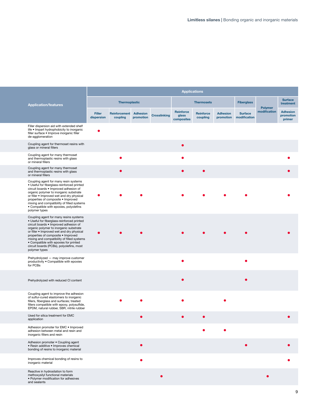|                                                                                                                                                                                                                                                                                                                                                                                                                |   |                                           |                      |                     | <b>Applications</b>              |                       |                              |                                |                                |                                        |
|----------------------------------------------------------------------------------------------------------------------------------------------------------------------------------------------------------------------------------------------------------------------------------------------------------------------------------------------------------------------------------------------------------------|---|-------------------------------------------|----------------------|---------------------|----------------------------------|-----------------------|------------------------------|--------------------------------|--------------------------------|----------------------------------------|
| <b>Application/features</b>                                                                                                                                                                                                                                                                                                                                                                                    |   |                                           | <b>Thermoplastic</b> |                     |                                  | <b>Thermosets</b>     |                              |                                |                                | <b>Surface</b><br>treatment            |
| <b>Filler</b><br>dispersion                                                                                                                                                                                                                                                                                                                                                                                    |   | <b>Reinforcement Adhesion</b><br>coupling | promotion            | <b>Crosslinking</b> | Reinforce<br>glass<br>composites | Reinforce<br>coupling | <b>Adhesion</b><br>promotion | <b>Surface</b><br>modification | <b>Polymer</b><br>modification | <b>Adhesion</b><br>promotion<br>primer |
| Filler dispersion aid with extended shelf<br>life . Impart hydrophobicity to inorganic<br>filler surface · Improve inorganic filler<br>de-agglomeration                                                                                                                                                                                                                                                        | О |                                           |                      |                     |                                  |                       |                              |                                |                                |                                        |
| Coupling agent for thermoset resins with<br>glass or mineral fillers                                                                                                                                                                                                                                                                                                                                           |   |                                           |                      |                     | $\bullet$                        |                       |                              |                                |                                |                                        |
| Coupling agent for many thermoset<br>and thermoplastic resins with glass<br>or mineral fillers                                                                                                                                                                                                                                                                                                                 |   | $\bullet$                                 |                      |                     |                                  |                       |                              |                                |                                |                                        |
| Coupling agent for many thermoset<br>and thermoplastic resins with glass<br>or mineral fillers                                                                                                                                                                                                                                                                                                                 |   | $\bullet$                                 |                      |                     | $\bullet$                        | $\bullet$             |                              |                                |                                |                                        |
| Coupling agent for many resin systems<br>· Useful for fiberglass-reinforced printed<br>circuit boards . Improved adhesion of<br>organic polymer to inorganic substrate<br>or filler • Improved wet and dry physical<br>properties of composite . Improved<br>mixing and compatibility of filled systems<br>• Compatible with epoxies, polyolefins<br>polymer types                                             |   |                                           |                      |                     |                                  |                       |                              |                                |                                |                                        |
| Coupling agent for many resins systems<br>· Useful for fiberglass-reinforced printed<br>circuit boards . Improved adhesion of<br>organic polymer to inorganic substrate<br>or filler • Improved wet and dry physical<br>properties of composite . Improved<br>mixing and compatibility of filled systems<br>• Compatible with epoxies for printed<br>circuit boards (PCBs), polyolefins, most<br>polymer types |   |                                           |                      |                     |                                  |                       |                              |                                |                                |                                        |
| Prehydrolyzed - may improve customer<br>productivity . Compatible with epoxies<br>for PCBs                                                                                                                                                                                                                                                                                                                     |   |                                           |                      |                     | $\bullet$                        |                       |                              |                                |                                |                                        |
| Prehydrolyzed with reduced CI content                                                                                                                                                                                                                                                                                                                                                                          |   |                                           |                      |                     |                                  |                       |                              |                                |                                |                                        |
| Coupling agent to improve the adhesion<br>of sulfur-cured elastomers to inorganic<br>fillers, fiberglass and surfaces; treated<br>fillers compatible with epoxy, polysulfide,<br>EPDM, natural rubber, SBR, nitrile rubber                                                                                                                                                                                     |   |                                           |                      |                     |                                  |                       |                              |                                |                                |                                        |
| Used for silica treatment for EMC<br>application                                                                                                                                                                                                                                                                                                                                                               |   |                                           |                      |                     |                                  |                       |                              |                                |                                |                                        |
| Adhesion promoter for EMC . Improved<br>adhesion between metal and resin and<br>inorganic fillers and resin                                                                                                                                                                                                                                                                                                    |   |                                           |                      |                     |                                  |                       | $\bullet$                    |                                |                                |                                        |
| Adhesion promoter . Coupling agent<br>• Resin additive • Improves chemical<br>bonding of resins to inorganic material                                                                                                                                                                                                                                                                                          |   |                                           | $\bullet$            |                     |                                  |                       |                              | $\bullet$                      |                                | $\bullet$                              |
| Improves chemical bonding of resins to<br>inorganic material                                                                                                                                                                                                                                                                                                                                                   |   |                                           |                      |                     |                                  |                       |                              |                                |                                |                                        |
| Reactive in hydrosilation to form<br>methoxysilyl functional materials<br>· Polymer modification for adhesives<br>and sealants                                                                                                                                                                                                                                                                                 |   |                                           |                      | $\bullet$           |                                  |                       |                              |                                |                                |                                        |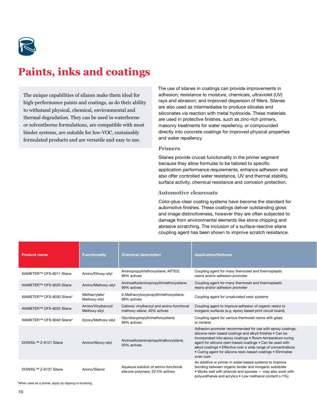

### **Paints, inks and coatings**

The unique capabilities of silanes make them ideal for high-performance paints and coatings, as do their ability to withstand physical, chemical, environmental and thermal degradation. They can be used in waterborne or solventborne formulations, are compatible with most binder systems, are suitable for low-VOC, sustainably formulated products and are versatile and easy to use.

The use of silanes in coatings can provide improvements in adhesion; resistance to moisture, chemicals, ultraviolet (UV) rays and abrasion; and improved dispersion of fillers. Silanes are also used as intermediates to produce silicates and siliconates via reaction with metal hydroxide. These materials are used in protective finishes, such as zinc-rich primers, masonry treatments for water repellency, or compounded directly into concrete coatings for improved physical properties and water repellency.

### **Primers**

Silanes provide crucial functionality in the primer segment because they allow formulas to be tailored to specific application performance requirements, enhance adhesion and also offer controlled water resistance, UV and thermal stability, surface activity, chemical resistance and corrosion protection.

### **Automotive clearcoats**

Color-plus-clear coating systems have become the standard for automotive finishes. These coatings deliver outstanding gloss and image distinctiveness, however they are often subjected to damage from environmental elements like stone chipping and abrasive scratching. The inclusion of a surface-reactive silane coupling agent has been shown to improve scratch resistance.

| <b>Product name</b>               | <b>Functionality</b>                | <b>Chemical description</b>                                              | <b>Application/features</b>                                                                                                                                                                                                                                                                                                                                                                         |
|-----------------------------------|-------------------------------------|--------------------------------------------------------------------------|-----------------------------------------------------------------------------------------------------------------------------------------------------------------------------------------------------------------------------------------------------------------------------------------------------------------------------------------------------------------------------------------------------|
| XIAMETER™ OFS-6011 Silane         | Amino/Ethoxy-silyl                  | Aminopropyltriethoxysilane; APTES;<br>99% actives                        | Coupling agent for many thermoset and thermoplastic<br>resins and/or adhesion promoter                                                                                                                                                                                                                                                                                                              |
| XIAMETER™ OFS-6020 Silane         | Amino/Methoxy-silyl                 | Aminoethylaminopropyltrimethoxysilane;<br>99% actives                    | Coupling agent for many thermoset and thermoplastic<br>resins and/or adhesion promoter                                                                                                                                                                                                                                                                                                              |
| XIAMETER™ OFS-6030 Silane*        | Methacrylate/<br>Methoxy-silyl      | 3-Methacryloxypropyltrimethoxysilane;<br>98% actives                     | Coupling agent for unsaturated resin systems                                                                                                                                                                                                                                                                                                                                                        |
| XIAMETER™ OFS-6032 Silane         | Amino/Vinylbenzyl/<br>Methoxy-silyl | Cationic vinylbenzyl and amino-functional<br>methoxy-silane; 40% actives | Coupling agent to improve adhesion of organic resins to<br>inorganic surfaces (e.g. epoxy based print circuit board)                                                                                                                                                                                                                                                                                |
| XIAMETER™ OFS-6040 Silane'        | Epoxy/Methoxy-silyl                 | Glycidoxypropyltrimethoxysilane;<br>99% actives                          | Coupling agent for various thermoset resins with glass<br>or mineral                                                                                                                                                                                                                                                                                                                                |
| DOWSIL™ Z-6121 Silane             | Amino/Alkoxy-silyl                  | Aminoethylaminopropyltrialkoxysilane;<br>50% actives                     | Adhesion promoter recommended for use with epoxy coatings,<br>silicone-resin based coatings and alkyd finishes . Can be<br>incorporated into epoxy coatings . Room-temperature curing<br>agent for silicone resin-based coatings . Can be used with<br>alkyd coatings . Effective over a wide range of concentrations<br>• Curing agent for silicone resin-based coatings • Eliminates<br>oven cure |
| DOWSIL <sup>™</sup> Z-6137 Silane | Amino/Silanol                       | Aqueous solution of amino-functional<br>silicone polymers; 22.5% actives | An additive or primer in water-based systems to improve<br>bonding between organic binder and inorganic substrate<br>• Works well with phenols and epoxies - may also work with<br>polyurethanes and acrylics • Low methanol content (<1%)                                                                                                                                                          |

\*When used as a primer, apply by dipping or brushing.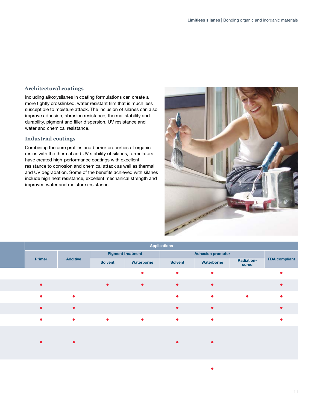### **Architectural coatings**

Including alkoxysilanes in coating formulations can create a more tightly crosslinked, water resistant film that is much less susceptible to moisture attack. The inclusion of silanes can also improve adhesion, abrasion resistance, thermal stability and durability, pigment and filler dispersion, UV resistance and water and chemical resistance.

### **Industrial coatings**

Combining the cure profiles and barrier properties of organic resins with the thermal and UV stability of silanes, formulators have created high-performance coatings with excellent resistance to corrosion and chemical attack as well as thermal and UV degradation. Some of the benefits achieved with silanes include high heat resistance, excellent mechanical strength and improved water and moisture resistance.



•

|               |                 |           |                          | <b>Applications</b> |                          |                            |                      |
|---------------|-----------------|-----------|--------------------------|---------------------|--------------------------|----------------------------|----------------------|
|               |                 |           | <b>Pigment treatment</b> |                     | <b>Adhesion promoter</b> |                            |                      |
| <b>Primer</b> | <b>Additive</b> | Solvent   | Waterborne               | Solvent             | Waterborne               | <b>Radiation-</b><br>cured | <b>FDA</b> compliant |
|               |                 |           | $\bullet$                | $\bullet$           | $\bullet$                |                            |                      |
| $\bullet$     |                 | $\bullet$ | $\bullet$                | $\bullet$           | $\bullet$                |                            |                      |
| $\bullet$     | $\bullet$       |           |                          | $\bullet$           | $\bullet$                | $\bullet$                  |                      |
| $\bullet$     | $\bullet$       |           |                          | $\bullet$           | $\bullet$                |                            |                      |
| $\bullet$     | $\bullet$       | $\bullet$ | $\bullet$                | $\bullet$           | $\bullet$                |                            |                      |
|               |                 |           |                          |                     |                          |                            |                      |
| $\bullet$     | $\bullet$       |           |                          | $\bullet$           |                          |                            |                      |
|               |                 |           |                          |                     |                          |                            |                      |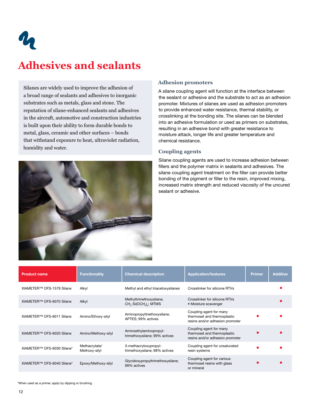$\boldsymbol{\eta}$ 

### **Adhesives and sealants**

Silanes are widely used to improve the adhesion of a broad range of sealants and adhesives to inorganic substrates such as metals, glass and stone. The reputation of silane-enhanced sealants and adhesives in the aircraft, automotive and construction industries is built upon their ability to form durable bonds to metal, glass, ceramic and other surfaces – bonds that withstand exposure to heat, ultraviolet radiation, humidity and water.



### **Adhesion promoters**

A silane coupling agent will function at the interface between the sealant or adhesive and the substrate to act as an adhesion promoter. Mixtures of silanes are used as adhesion promoters to provide enhanced water resistance, thermal stability, or crosslinking at the bonding site. The silanes can be blended into an adhesive formulation or used as primers on substrates, resulting in an adhesive bond with greater resistance to moisture attack, longer life and greater temperature and chemical resistance.

### **Coupling agents**

Silane coupling agents are used to increase adhesion between fillers and the polymer matrix in sealants and adhesives. The silane coupling agent treatment on the filler can provide better bonding of the pigment or filler to the resin, improved mixing, increased matrix strength and reduced viscosity of the uncured sealant or adhesive.

| <b>Product name</b>        | <b>Functionality</b>           | <b>Chemical description</b>                                                           | <b>Application/features</b>                                                               | <b>Primer</b> | <b>Additive</b> |
|----------------------------|--------------------------------|---------------------------------------------------------------------------------------|-------------------------------------------------------------------------------------------|---------------|-----------------|
| XIAMETER™ OFS-1579 Silane  | Alkyl                          | Methyl and ethyl triacetoxysilanes                                                    | Crosslinker for silicone RTVs                                                             |               |                 |
| XIAMETER™ OFS-6070 Silane  | Alkyl                          | Methyltrimethoxysilane;<br>CH <sub>2</sub> -Si(OCH <sub>2</sub> ) <sub>2</sub> ; MTMS | Crosslinker for silicone RTVs<br>• Moisture scavenger                                     |               |                 |
| XIAMETER™ OFS-6011 Silane  | Amino/Ethoxy-silyl             | Aminopropyltriethoxysilane;<br>APTES: 99% actives                                     | Coupling agent for many<br>thermoset and thermoplastic<br>resins and/or adhesion promoter |               |                 |
| XIAMETER™ OFS-6020 Silane  | Amino/Methoxy-silyl            | Aminoethylaminopropyl-<br>trimethoxysilane; 99% actives                               | Coupling agent for many<br>thermoset and thermoplastic<br>resins and/or adhesion promoter |               |                 |
| XIAMETER™ OFS-6030 Silane* | Methacrylate/<br>Methoxy-silyl | 3-methacryloxypropyl-<br>trimethoxysilane; 98% actives                                | Coupling agent for unsaturated<br>resin systems                                           |               |                 |
| XIAMETER™ OFS-6040 Silane* | Epoxy/Methoxy-silyl            | Glycidoxypropyltrimethoxysilane;<br>99% actives                                       | Coupling agent for various<br>thermoset resins with glass<br>or mineral                   |               |                 |

\*When used as a primer, apply by dipping or brushing.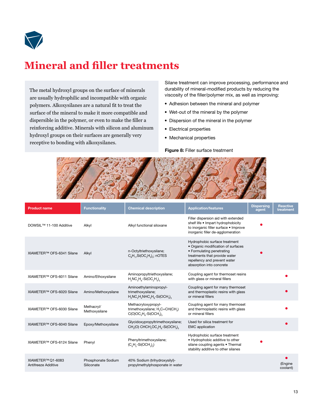

### **Mineral and filler treatments**

The metal hydroxyl groups on the surface of minerals are usually hydrophilic and incompatible with organic polymers. Alkoxysilanes are a natural fit to treat the surface of the mineral to make it more compatible and dispersible in the polymer, or even to make the filler a reinforcing additive. Minerals with silicon and aluminum hydroxyl groups on their surfaces are generally very receptive to bonding with alkoxysilanes.

Silane treatment can improve processing, performance and durability of mineral-modified products by reducing the viscosity of the filler/polymer mix, as well as improving:

- Adhesion between the mineral and polymer
- Wet-out of the mineral by the polymer
- Dispersion of the mineral in the polymer
- Electrical properties
- Mechanical properties

Figure 8: Filler surface treatment



| <b>Product name</b>                      | <b>Functionality</b>             | <b>Chemical description</b>                                                                                                                  | <b>Application/features</b>                                                                                                                                                                   | <b>Dispersing</b><br>agent | <b>Reactive</b><br>treatment |
|------------------------------------------|----------------------------------|----------------------------------------------------------------------------------------------------------------------------------------------|-----------------------------------------------------------------------------------------------------------------------------------------------------------------------------------------------|----------------------------|------------------------------|
| DOWSIL <sup>™</sup> 11-100 Additive      | Alkyl                            | Alkyl functional siloxane                                                                                                                    | Filler dispersion aid with extended<br>shelf life • Impart hydrophobicity<br>to inorganic filler surface . Improve<br>inorganic filler de-agglomeration                                       |                            |                              |
| XIAMETER™ OFS-6341 Silane                | Alkyl                            | n-Octyltriethoxysilane;<br>$CaH17Si(OCaHa)a; nOTES$                                                                                          | Hydrophobic surface treatment<br>• Organic modification of surfaces<br>• Formulating penetrating<br>treatments that provide water<br>repellency and prevent water<br>absorption into concrete |                            |                              |
| XIAMETER™ OFS-6011 Silane                | Amino/Ethoxysilane               | Aminopropyltriethoxysilane;<br>$H_2NC_3H_6-Si(OC_2H_6)$                                                                                      | Coupling agent for thermoset resins<br>with glass or mineral fillers                                                                                                                          |                            |                              |
| XIAMETER™ OFS-6020 Silane                | Amino/Methoxysilane              | Aminoethylaminopropyl-<br>trimethoxysilane;<br>$H2NC2H4NHC3H6-Si(OCH3)3$                                                                     | Coupling agent for many thermoset<br>and thermoplastic resins with glass<br>or mineral fillers                                                                                                |                            |                              |
| XIAMETER™ OFS-6030 Silane                | Methacryl/<br>Methoxysilane      | Methacryloxypropyl-<br>trimethoxysilane; H <sub>2</sub> C=CH(CH <sub>2</sub> )<br>$C(O)OC3H6-Si(OCH3)3$                                      | Coupling agent for many thermoset<br>and thermoplastic resins with glass<br>or mineral fillers                                                                                                |                            |                              |
| XIAMETER™ OFS-6040 Silane                | Epoxy/Methoxysilane              | Glycidoxypropyltrimethoxysilane;<br>CH <sub>2</sub> (O) CHCH <sub>2</sub> OC <sub>3</sub> H <sub>2</sub> -Si(OCH <sub>3</sub> ) <sub>3</sub> | Used for silica treatment for<br><b>EMC</b> application                                                                                                                                       |                            |                              |
| XIAMETER™ OFS-6124 Silane                | Phenyl                           | Phenyltrimethoxysilane;<br>$(C_{6}H_{5}-Si(OCH_{3})_{3})$                                                                                    | Hydrophobic surface treatment<br>• Hydrophobic additive to other<br>silane coupling agents • Thermal<br>stability additive to other silanes                                                   |                            |                              |
| XIAMETER™ Q1-6083<br>Antifreeze Additive | Phosphonate Sodium<br>Siliconate | 40% Sodium (trihydroxysilyl)-<br>propylmethylphosponate in water                                                                             |                                                                                                                                                                                               |                            | (Engine<br>coolant)          |